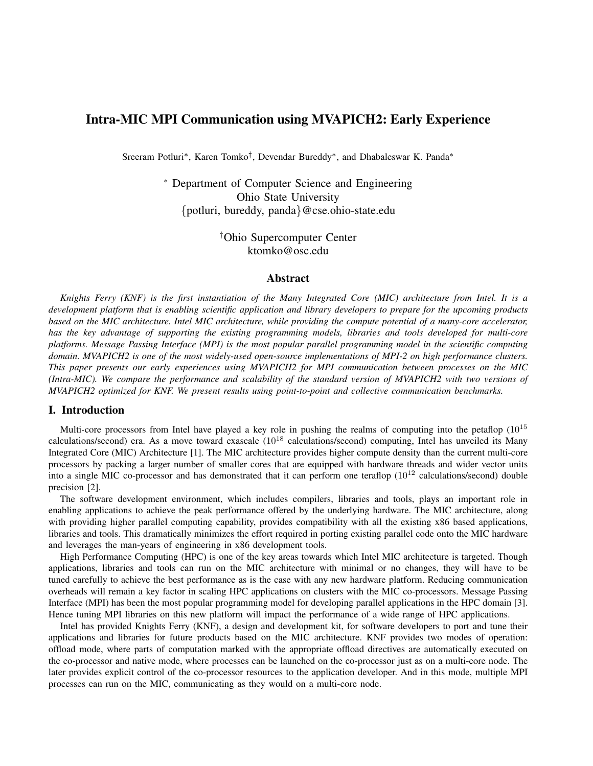# Intra-MIC MPI Communication using MVAPICH2: Early Experience

Sreeram Potluri<sup>\*</sup>, Karen Tomko<sup>†</sup>, Devendar Bureddy<sup>\*</sup>, and Dhabaleswar K. Panda<sup>\*</sup>

<sup>∗</sup> Department of Computer Science and Engineering Ohio State University {potluri, bureddy, panda}@cse.ohio-state.edu

> †Ohio Supercomputer Center ktomko@osc.edu

#### Abstract

*Knights Ferry (KNF) is the first instantiation of the Many Integrated Core (MIC) architecture from Intel. It is a development platform that is enabling scientific application and library developers to prepare for the upcoming products based on the MIC architecture. Intel MIC architecture, while providing the compute potential of a many-core accelerator, has the key advantage of supporting the existing programming models, libraries and tools developed for multi-core platforms. Message Passing Interface (MPI) is the most popular parallel programming model in the scientific computing domain. MVAPICH2 is one of the most widely-used open-source implementations of MPI-2 on high performance clusters. This paper presents our early experiences using MVAPICH2 for MPI communication between processes on the MIC (Intra-MIC). We compare the performance and scalability of the standard version of MVAPICH2 with two versions of MVAPICH2 optimized for KNF. We present results using point-to-point and collective communication benchmarks.*

#### I. Introduction

Multi-core processors from Intel have played a key role in pushing the realms of computing into the petaflop  $(10^{15}$ calculations/second) era. As a move toward exascale  $(10^{18}$  calculations/second) computing, Intel has unveiled its Many Integrated Core (MIC) Architecture [1]. The MIC architecture provides higher compute density than the current multi-core processors by packing a larger number of smaller cores that are equipped with hardware threads and wider vector units into a single MIC co-processor and has demonstrated that it can perform one teraflop  $(10^{12}$  calculations/second) double precision [2].

The software development environment, which includes compilers, libraries and tools, plays an important role in enabling applications to achieve the peak performance offered by the underlying hardware. The MIC architecture, along with providing higher parallel computing capability, provides compatibility with all the existing x86 based applications, libraries and tools. This dramatically minimizes the effort required in porting existing parallel code onto the MIC hardware and leverages the man-years of engineering in x86 development tools.

High Performance Computing (HPC) is one of the key areas towards which Intel MIC architecture is targeted. Though applications, libraries and tools can run on the MIC architecture with minimal or no changes, they will have to be tuned carefully to achieve the best performance as is the case with any new hardware platform. Reducing communication overheads will remain a key factor in scaling HPC applications on clusters with the MIC co-processors. Message Passing Interface (MPI) has been the most popular programming model for developing parallel applications in the HPC domain [3]. Hence tuning MPI libraries on this new platform will impact the performance of a wide range of HPC applications.

Intel has provided Knights Ferry (KNF), a design and development kit, for software developers to port and tune their applications and libraries for future products based on the MIC architecture. KNF provides two modes of operation: offload mode, where parts of computation marked with the appropriate offload directives are automatically executed on the co-processor and native mode, where processes can be launched on the co-processor just as on a multi-core node. The later provides explicit control of the co-processor resources to the application developer. And in this mode, multiple MPI processes can run on the MIC, communicating as they would on a multi-core node.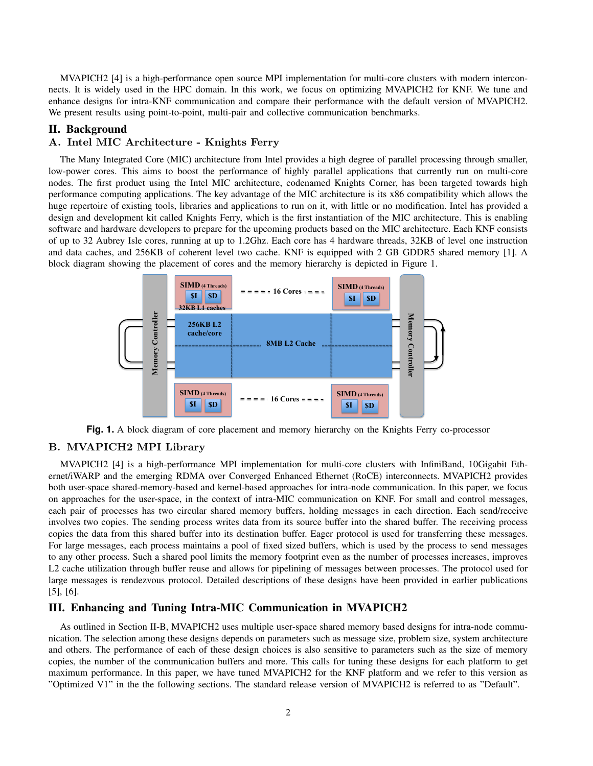MVAPICH2 [4] is a high-performance open source MPI implementation for multi-core clusters with modern interconnects. It is widely used in the HPC domain. In this work, we focus on optimizing MVAPICH2 for KNF. We tune and enhance designs for intra-KNF communication and compare their performance with the default version of MVAPICH2. We present results using point-to-point, multi-pair and collective communication benchmarks.

## II. Background

### A. Intel MIC Architecture - Knights Ferry

The Many Integrated Core (MIC) architecture from Intel provides a high degree of parallel processing through smaller, low-power cores. This aims to boost the performance of highly parallel applications that currently run on multi-core nodes. The first product using the Intel MIC architecture, codenamed Knights Corner, has been targeted towards high performance computing applications. The key advantage of the MIC architecture is its x86 compatibility which allows the huge repertoire of existing tools, libraries and applications to run on it, with little or no modification. Intel has provided a design and development kit called Knights Ferry, which is the first instantiation of the MIC architecture. This is enabling software and hardware developers to prepare for the upcoming products based on the MIC architecture. Each KNF consists of up to 32 Aubrey Isle cores, running at up to 1.2Ghz. Each core has 4 hardware threads, 32KB of level one instruction and data caches, and 256KB of coherent level two cache. KNF is equipped with 2 GB GDDR5 shared memory [1]. A block diagram showing the placement of cores and the memory hierarchy is depicted in Figure 1.



Fig. 1. A block diagram of core placement and memory hierarchy on the Knights Ferry co-processor

## B. MVAPICH2 MPI Library

MVAPICH2 [4] is a high-performance MPI implementation for multi-core clusters with InfiniBand, 10Gigabit Ethernet/iWARP and the emerging RDMA over Converged Enhanced Ethernet (RoCE) interconnects. MVAPICH2 provides both user-space shared-memory-based and kernel-based approaches for intra-node communication. In this paper, we focus on approaches for the user-space, in the context of intra-MIC communication on KNF. For small and control messages, each pair of processes has two circular shared memory buffers, holding messages in each direction. Each send/receive involves two copies. The sending process writes data from its source buffer into the shared buffer. The receiving process copies the data from this shared buffer into its destination buffer. Eager protocol is used for transferring these messages. For large messages, each process maintains a pool of fixed sized buffers, which is used by the process to send messages to any other process. Such a shared pool limits the memory footprint even as the number of processes increases, improves L2 cache utilization through buffer reuse and allows for pipelining of messages between processes. The protocol used for large messages is rendezvous protocol. Detailed descriptions of these designs have been provided in earlier publications [5], [6].

#### III. Enhancing and Tuning Intra-MIC Communication in MVAPICH2

As outlined in Section II-B, MVAPICH2 uses multiple user-space shared memory based designs for intra-node communication. The selection among these designs depends on parameters such as message size, problem size, system architecture and others. The performance of each of these design choices is also sensitive to parameters such as the size of memory copies, the number of the communication buffers and more. This calls for tuning these designs for each platform to get maximum performance. In this paper, we have tuned MVAPICH2 for the KNF platform and we refer to this version as "Optimized V1" in the the following sections. The standard release version of MVAPICH2 is referred to as "Default".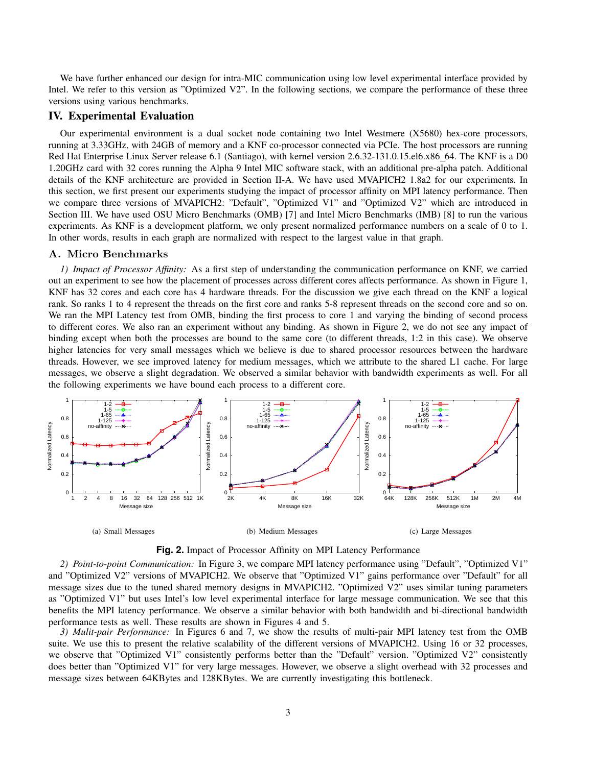We have further enhanced our design for intra-MIC communication using low level experimental interface provided by Intel. We refer to this version as "Optimized V2". In the following sections, we compare the performance of these three versions using various benchmarks.

### IV. Experimental Evaluation

Our experimental environment is a dual socket node containing two Intel Westmere (X5680) hex-core processors, running at 3.33GHz, with 24GB of memory and a KNF co-processor connected via PCIe. The host processors are running Red Hat Enterprise Linux Server release 6.1 (Santiago), with kernel version 2.6.32-131.0.15.el6.x86\_64. The KNF is a D0 1.20GHz card with 32 cores running the Alpha 9 Intel MIC software stack, with an additional pre-alpha patch. Additional details of the KNF architecture are provided in Section II-A. We have used MVAPICH2 1.8a2 for our experiments. In this section, we first present our experiments studying the impact of processor affinity on MPI latency performance. Then we compare three versions of MVAPICH2: "Default", "Optimized V1" and "Optimized V2" which are introduced in Section III. We have used OSU Micro Benchmarks (OMB) [7] and Intel Micro Benchmarks (IMB) [8] to run the various experiments. As KNF is a development platform, we only present normalized performance numbers on a scale of 0 to 1. In other words, results in each graph are normalized with respect to the largest value in that graph.

#### A. Micro Benchmarks

*1) Impact of Processor Affinity:* As a first step of understanding the communication performance on KNF, we carried out an experiment to see how the placement of processes across different cores affects performance. As shown in Figure 1, KNF has 32 cores and each core has 4 hardware threads. For the discussion we give each thread on the KNF a logical rank. So ranks 1 to 4 represent the threads on the first core and ranks 5-8 represent threads on the second core and so on. We ran the MPI Latency test from OMB, binding the first process to core 1 and varying the binding of second process to different cores. We also ran an experiment without any binding. As shown in Figure 2, we do not see any impact of binding except when both the processes are bound to the same core (to different threads, 1:2 in this case). We observe higher latencies for very small messages which we believe is due to shared processor resources between the hardware threads. However, we see improved latency for medium messages, which we attribute to the shared L1 cache. For large messages, we observe a slight degradation. We observed a similar behavior with bandwidth experiments as well. For all the following experiments we have bound each process to a different core.



(a) Small Messages



(c) Large Messages

**Fig. 2.** Impact of Processor Affinity on MPI Latency Performance

*2) Point-to-point Communication:* In Figure 3, we compare MPI latency performance using "Default", "Optimized V1" and "Optimized V2" versions of MVAPICH2. We observe that "Optimized V1" gains performance over "Default" for all message sizes due to the tuned shared memory designs in MVAPICH2. "Optimized V2" uses similar tuning parameters as "Optimized V1" but uses Intel's low level experimental interface for large message communication. We see that this benefits the MPI latency performance. We observe a similar behavior with both bandwidth and bi-directional bandwidth performance tests as well. These results are shown in Figures 4 and 5.

*3) Mulit-pair Performance:* In Figures 6 and 7, we show the results of multi-pair MPI latency test from the OMB suite. We use this to present the relative scalability of the different versions of MVAPICH2. Using 16 or 32 processes, we observe that "Optimized V1" consistently performs better than the "Default" version. "Optimized V2" consistently does better than "Optimized V1" for very large messages. However, we observe a slight overhead with 32 processes and message sizes between 64KBytes and 128KBytes. We are currently investigating this bottleneck.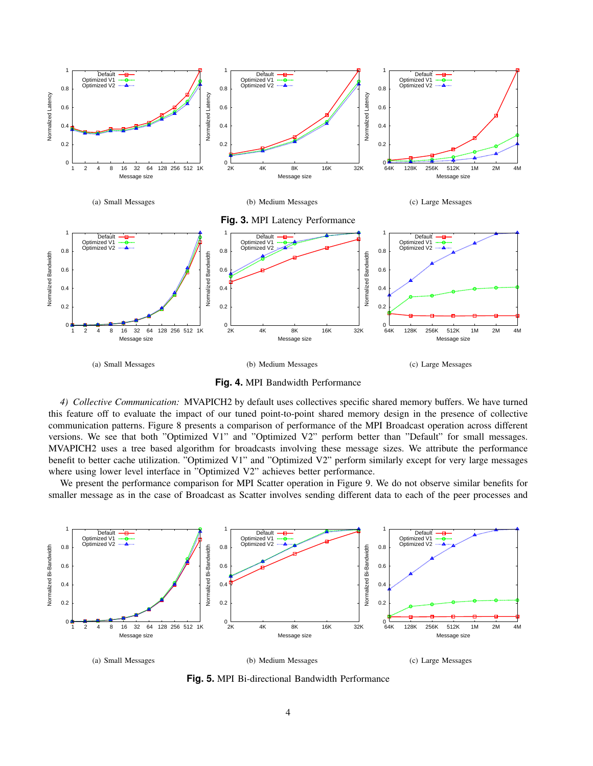

**Fig. 4.** MPI Bandwidth Performance

*4) Collective Communication:* MVAPICH2 by default uses collectives specific shared memory buffers. We have turned this feature off to evaluate the impact of our tuned point-to-point shared memory design in the presence of collective communication patterns. Figure 8 presents a comparison of performance of the MPI Broadcast operation across different versions. We see that both "Optimized V1" and "Optimized V2" perform better than "Default" for small messages. MVAPICH2 uses a tree based algorithm for broadcasts involving these message sizes. We attribute the performance benefit to better cache utilization. "Optimized V1" and "Optimized V2" perform similarly except for very large messages where using lower level interface in "Optimized V2" achieves better performance.

We present the performance comparison for MPI Scatter operation in Figure 9. We do not observe similar benefits for smaller message as in the case of Broadcast as Scatter involves sending different data to each of the peer processes and



**Fig. 5.** MPI Bi-directional Bandwidth Performance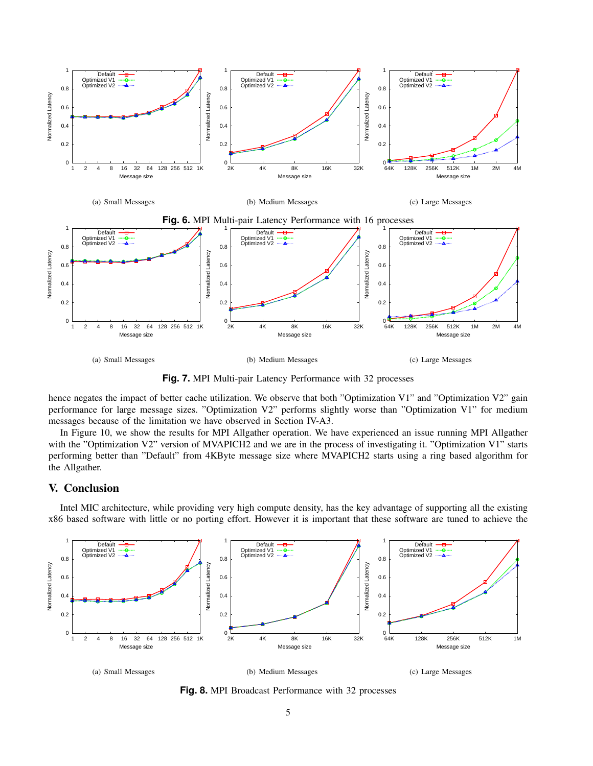

**Fig. 7.** MPI Multi-pair Latency Performance with 32 processes

hence negates the impact of better cache utilization. We observe that both "Optimization V1" and "Optimization V2" gain performance for large message sizes. "Optimization V2" performs slightly worse than "Optimization V1" for medium messages because of the limitation we have observed in Section IV-A3.

In Figure 10, we show the results for MPI Allgather operation. We have experienced an issue running MPI Allgather with the "Optimization V2" version of MVAPICH2 and we are in the process of investigating it. "Optimization V1" starts performing better than "Default" from 4KByte message size where MVAPICH2 starts using a ring based algorithm for the Allgather.

# V. Conclusion

Intel MIC architecture, while providing very high compute density, has the key advantage of supporting all the existing x86 based software with little or no porting effort. However it is important that these software are tuned to achieve the



**Fig. 8.** MPI Broadcast Performance with 32 processes